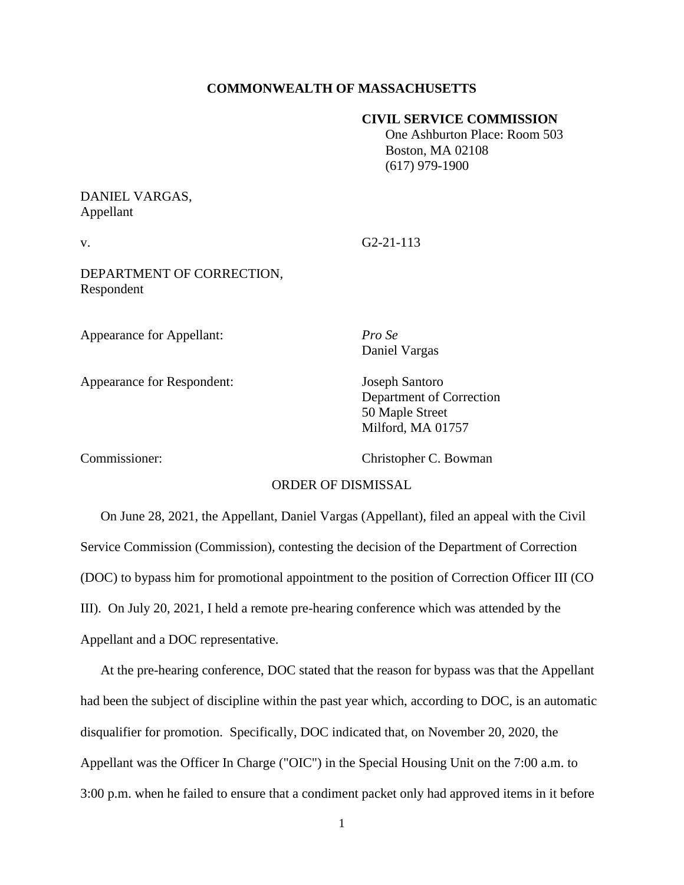#### **COMMONWEALTH OF MASSACHUSETTS**

#### **CIVIL SERVICE COMMISSION**

 One Ashburton Place: Room 503 Boston, MA 02108 (617) 979-1900

## DANIEL VARGAS, Appellant

v. G2-21-113

DEPARTMENT OF CORRECTION, Respondent

Appearance for Appellant: *Pro Se*

Appearance for Respondent: Joseph Santoro

Daniel Vargas

Department of Correction 50 Maple Street Milford, MA 01757

Commissioner: Christopher C. Bowman

#### ORDER OF DISMISSAL

On June 28, 2021, the Appellant, Daniel Vargas (Appellant), filed an appeal with the Civil Service Commission (Commission), contesting the decision of the Department of Correction (DOC) to bypass him for promotional appointment to the position of Correction Officer III (CO III). On July 20, 2021, I held a remote pre-hearing conference which was attended by the Appellant and a DOC representative.

At the pre-hearing conference, DOC stated that the reason for bypass was that the Appellant had been the subject of discipline within the past year which, according to DOC, is an automatic disqualifier for promotion. Specifically, DOC indicated that, on November 20, 2020, the Appellant was the Officer In Charge ("OIC") in the Special Housing Unit on the 7:00 a.m. to 3:00 p.m. when he failed to ensure that a condiment packet only had approved items in it before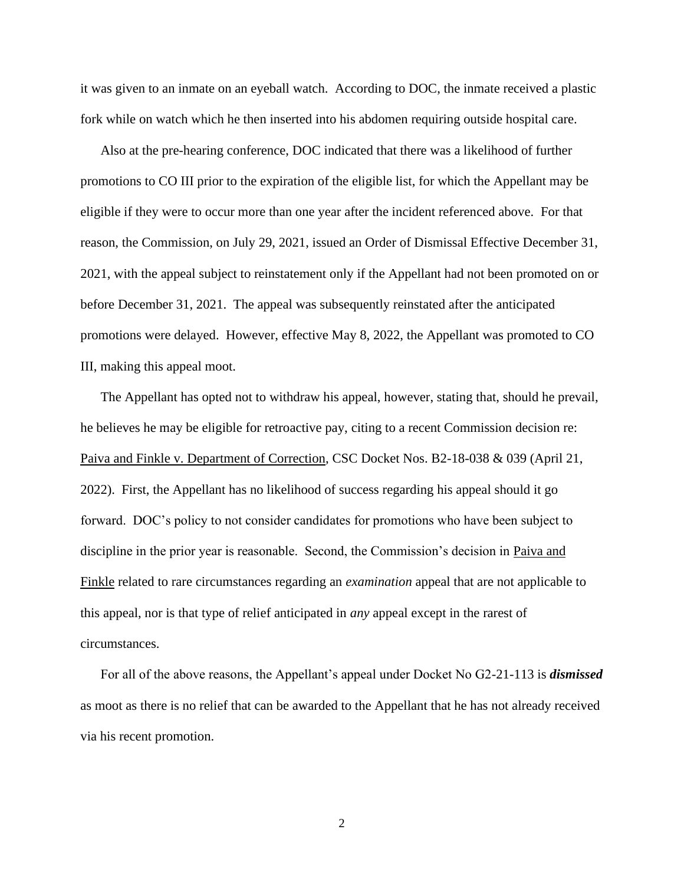it was given to an inmate on an eyeball watch. According to DOC, the inmate received a plastic fork while on watch which he then inserted into his abdomen requiring outside hospital care.

Also at the pre-hearing conference, DOC indicated that there was a likelihood of further promotions to CO III prior to the expiration of the eligible list, for which the Appellant may be eligible if they were to occur more than one year after the incident referenced above. For that reason, the Commission, on July 29, 2021, issued an Order of Dismissal Effective December 31, 2021, with the appeal subject to reinstatement only if the Appellant had not been promoted on or before December 31, 2021. The appeal was subsequently reinstated after the anticipated promotions were delayed. However, effective May 8, 2022, the Appellant was promoted to CO III, making this appeal moot.

The Appellant has opted not to withdraw his appeal, however, stating that, should he prevail, he believes he may be eligible for retroactive pay, citing to a recent Commission decision re: Paiva and Finkle v. Department of Correction, CSC Docket Nos. B2-18-038 & 039 (April 21, 2022). First, the Appellant has no likelihood of success regarding his appeal should it go forward. DOC's policy to not consider candidates for promotions who have been subject to discipline in the prior year is reasonable. Second, the Commission's decision in Paiva and Finkle related to rare circumstances regarding an *examination* appeal that are not applicable to this appeal, nor is that type of relief anticipated in *any* appeal except in the rarest of circumstances.

For all of the above reasons, the Appellant's appeal under Docket No G2-21-113 is *dismissed*  as moot as there is no relief that can be awarded to the Appellant that he has not already received via his recent promotion.

2